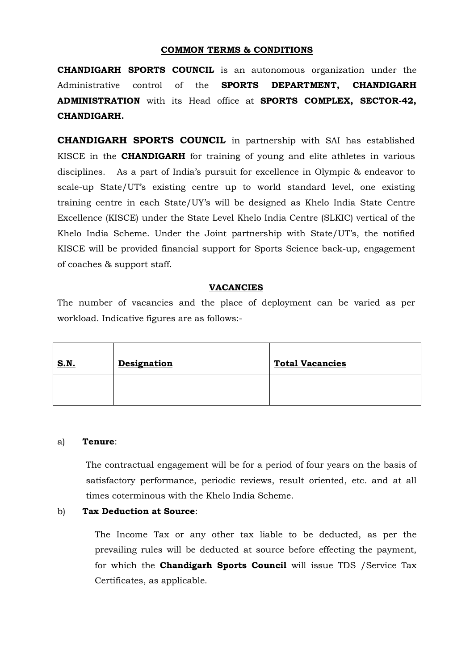### **COMMON TERMS & CONDITIONS**

**CHANDIGARH SPORTS COUNCIL** is an autonomous organization under the Administrative control of the **SPORTS DEPARTMENT, CHANDIGARH ADMINISTRATION** with its Head office at **SPORTS COMPLEX, SECTOR-42, CHANDIGARH.**

**CHANDIGARH SPORTS COUNCIL** in partnership with SAI has established KISCE in the **CHANDIGARH** for training of young and elite athletes in various disciplines. As a part of India's pursuit for excellence in Olympic & endeavor to scale-up State/UT's existing centre up to world standard level, one existing training centre in each State/UY's will be designed as Khelo India State Centre Excellence (KISCE) under the State Level Khelo India Centre (SLKIC) vertical of the Khelo India Scheme. Under the Joint partnership with State/UT's, the notified KISCE will be provided financial support for Sports Science back-up, engagement of coaches & support staff.

### **VACANCIES**

The number of vacancies and the place of deployment can be varied as per workload. Indicative figures are as follows:-

| <b>S.N.</b> | <b>Designation</b> | <b>Total Vacancies</b> |
|-------------|--------------------|------------------------|
|             |                    |                        |

### a) **Tenure**:

The contractual engagement will be for a period of four years on the basis of satisfactory performance, periodic reviews, result oriented, etc. and at all times coterminous with the Khelo India Scheme.

### b) **Tax Deduction at Source**:

The Income Tax or any other tax liable to be deducted, as per the prevailing rules will be deducted at source before effecting the payment, for which the **Chandigarh Sports Council** will issue TDS /Service Tax Certificates, as applicable.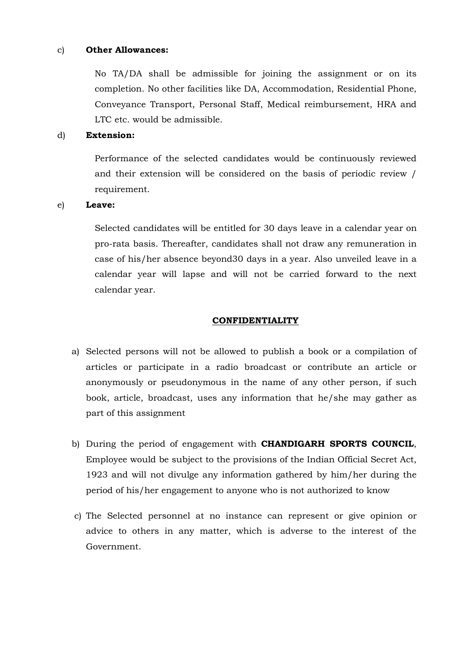### c) **Other Allowances:**

No TA/DA shall be admissible for joining the assignment or on its completion. No other facilities like DA, Accommodation, Residential Phone, Conveyance Transport, Personal Staff, Medical reimbursement, HRA and LTC etc. would be admissible.

### d) **Extension:**

Performance of the selected candidates would be continuously reviewed and their extension will be considered on the basis of periodic review / requirement.

#### e) **Leave:**

Selected candidates will be entitled for 30 days leave in a calendar year on pro-rata basis. Thereafter, candidates shall not draw any remuneration in case of his/her absence beyond30 days in a year. Also unveiled leave in a calendar year will lapse and will not be carried forward to the next calendar year.

#### **CONFIDENTIALITY**

- a) Selected persons will not be allowed to publish a book or a compilation of articles or participate in a radio broadcast or contribute an article or anonymously or pseudonymous in the name of any other person, if such book, article, broadcast, uses any information that he/she may gather as part of this assignment
- b) During the period of engagement with **CHANDIGARH SPORTS COUNCIL**, Employee would be subject to the provisions of the Indian Official Secret Act, 1923 and will not divulge any information gathered by him/her during the period of his/her engagement to anyone who is not authorized to know
- c) The Selected personnel at no instance can represent or give opinion or advice to others in any matter, which is adverse to the interest of the Government.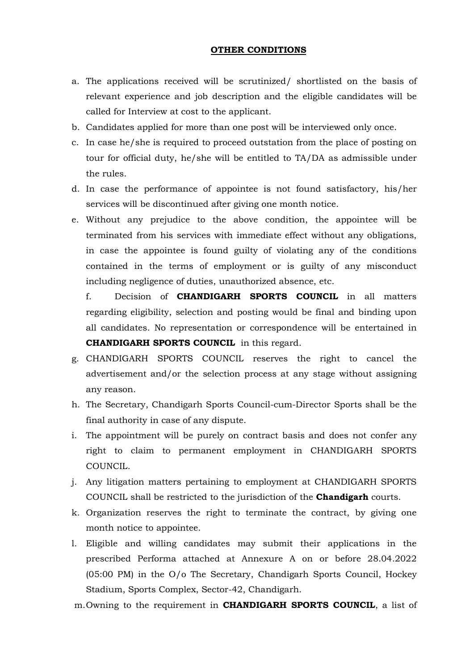### **OTHER CONDITIONS**

- a. The applications received will be scrutinized/ shortlisted on the basis of relevant experience and job description and the eligible candidates will be called for Interview at cost to the applicant.
- b. Candidates applied for more than one post will be interviewed only once.
- c. In case he/she is required to proceed outstation from the place of posting on tour for official duty, he/she will be entitled to TA/DA as admissible under the rules.
- d. In case the performance of appointee is not found satisfactory, his/her services will be discontinued after giving one month notice.
- e. Without any prejudice to the above condition, the appointee will be terminated from his services with immediate effect without any obligations, in case the appointee is found guilty of violating any of the conditions contained in the terms of employment or is guilty of any misconduct including negligence of duties, unauthorized absence, etc.

f. Decision of **CHANDIGARH SPORTS COUNCIL** in all matters regarding eligibility, selection and posting would be final and binding upon all candidates. No representation or correspondence will be entertained in **CHANDIGARH SPORTS COUNCIL** in this regard.

- g. CHANDIGARH SPORTS COUNCIL reserves the right to cancel the advertisement and/or the selection process at any stage without assigning any reason.
- h. The Secretary, Chandigarh Sports Council-cum-Director Sports shall be the final authority in case of any dispute.
- i. The appointment will be purely on contract basis and does not confer any right to claim to permanent employment in CHANDIGARH SPORTS COUNCIL.
- j. Any litigation matters pertaining to employment at CHANDIGARH SPORTS COUNCIL shall be restricted to the jurisdiction of the **Chandigarh** courts.
- k. Organization reserves the right to terminate the contract, by giving one month notice to appointee.
- l. Eligible and willing candidates may submit their applications in the prescribed Performa attached at Annexure A on or before 28.04.2022 (05:00 PM) in the O/o The Secretary, Chandigarh Sports Council, Hockey Stadium, Sports Complex, Sector-42, Chandigarh.

m.Owning to the requirement in **CHANDIGARH SPORTS COUNCIL**, a list of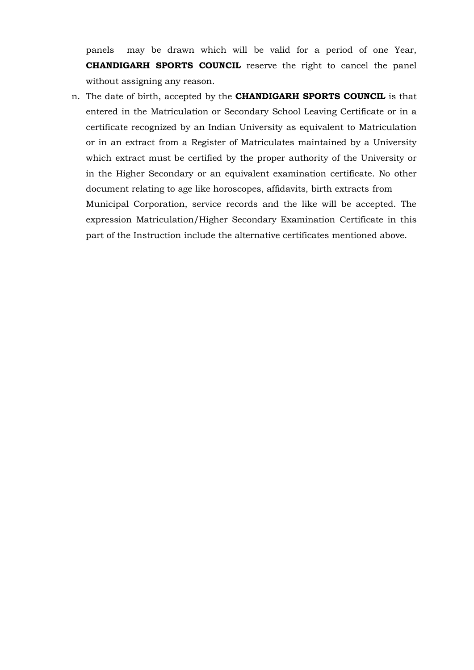panels may be drawn which will be valid for a period of one Year, **CHANDIGARH SPORTS COUNCIL** reserve the right to cancel the panel without assigning any reason.

n. The date of birth, accepted by the **CHANDIGARH SPORTS COUNCIL** is that entered in the Matriculation or Secondary School Leaving Certificate or in a certificate recognized by an Indian University as equivalent to Matriculation or in an extract from a Register of Matriculates maintained by a University which extract must be certified by the proper authority of the University or in the Higher Secondary or an equivalent examination certificate. No other document relating to age like horoscopes, affidavits, birth extracts from Municipal Corporation, service records and the like will be accepted. The expression Matriculation/Higher Secondary Examination Certificate in this part of the Instruction include the alternative certificates mentioned above.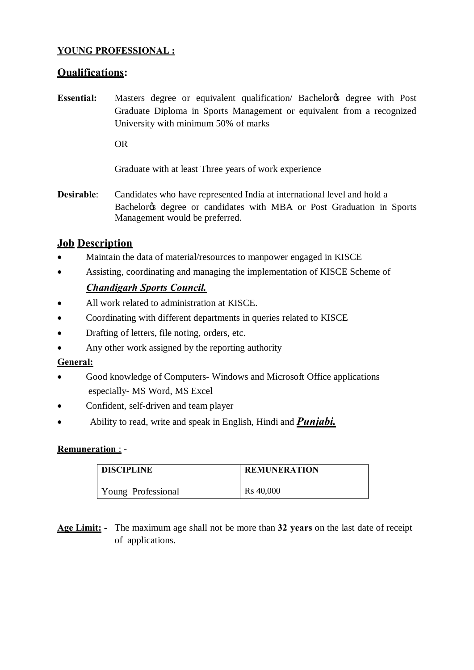# **YOUNG PROFESSIONAL :**

# **Qualifications:**

**Essential:** Masters degree or equivalent qualification/ Bachelor & degree with Post Graduate Diploma in Sports Management or equivalent from a recognized University with minimum 50% of marks

OR

Graduate with at least Three years of work experience

**Desirable**: Candidates who have represented India at international level and hold a Bachelor & degree or candidates with MBA or Post Graduation in Sports Management would be preferred.

# **Job Description**

- · Maintain the data of material/resources to manpower engaged in KISCE
- · Assisting, coordinating and managing the implementation of KISCE Scheme of

# *Chandigarh Sports Council.*

- All work related to administration at KISCE.
- · Coordinating with different departments in queries related to KISCE
- Drafting of letters, file noting, orders, etc.
- Any other work assigned by the reporting authority

## **General:**

- · Good knowledge of Computers- Windows and Microsoft Office applications especially- MS Word, MS Excel
- Confident, self-driven and team player
- · Ability to read, write and speak in English, Hindi and *Punjabi.*

## **Remuneration** : -

| <b>DISCIPLINE</b>  | <b>REMUNERATION</b> |  |
|--------------------|---------------------|--|
|                    |                     |  |
| Young Professional | Rs 40,000           |  |

**Age Limit: -** The maximum age shall not be more than **32 years** on the last date of receipt of applications.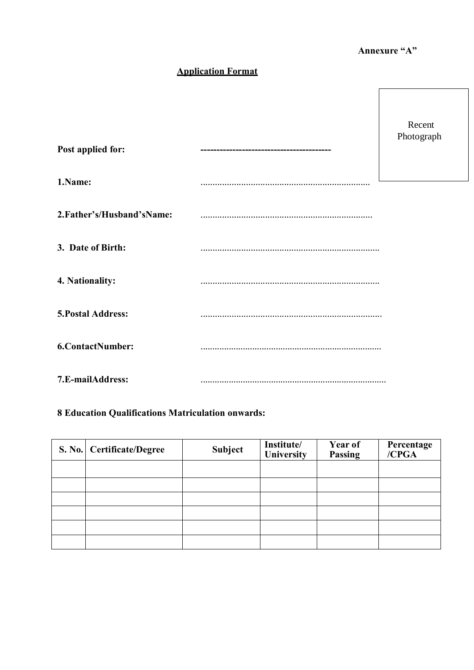# **Annexure "A"**

# **Application Format**

| Post applied for:          | Recent<br>Photograph |
|----------------------------|----------------------|
| 1.Name:                    |                      |
| 2. Father's/Husband'sName: |                      |
| 3. Date of Birth:          |                      |
| 4. Nationality:            |                      |
| <b>5. Postal Address:</b>  |                      |
| <b>6.ContactNumber:</b>    |                      |
| 7.E-mailAddress:           |                      |

# **8 Education Qualifications Matriculation onwards:**

| S. No.   Certificate/Degree | Subject | Institute/<br><b>University</b> | <b>Year of</b><br><b>Passing</b> | Percentage<br>/CPGA |
|-----------------------------|---------|---------------------------------|----------------------------------|---------------------|
|                             |         |                                 |                                  |                     |
|                             |         |                                 |                                  |                     |
|                             |         |                                 |                                  |                     |
|                             |         |                                 |                                  |                     |
|                             |         |                                 |                                  |                     |
|                             |         |                                 |                                  |                     |